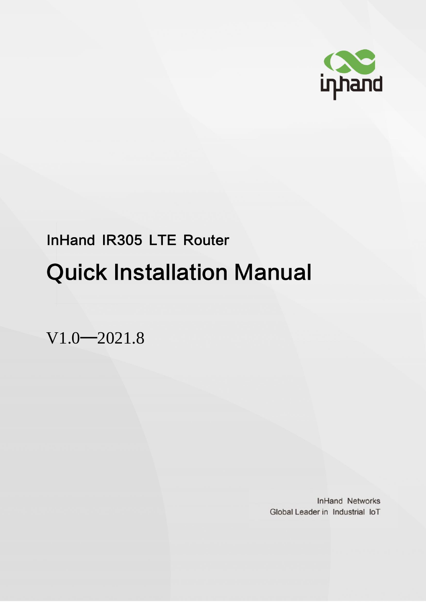

# InHand IR305 LTE Router Quick Installation Manual

V1.0—2021.8

**InHand Networks** Global Leader in Industrial IoT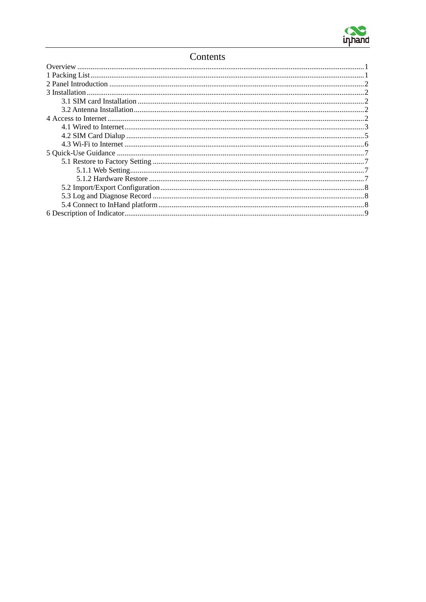

#### Contents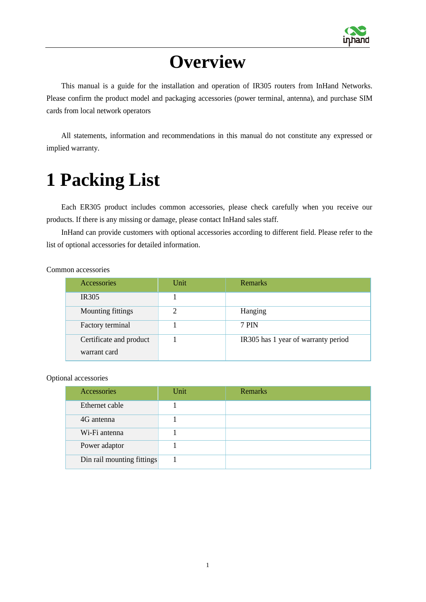

# **Overview**

<span id="page-2-0"></span>This manual is a guide for the installation and operation of IR305 routers from InHand Networks. Please confirm the product model and packaging accessories (power terminal, antenna), and purchase SIM cards from local network operators

All statements, information and recommendations in this manual do not constitute any expressed or implied warranty.

# <span id="page-2-1"></span>**1 Packing List**

Each ER305 product includes common accessories, please check carefully when you receive our products. If there is any missing or damage, please contact InHand sales staff.

InHand can provide customers with optional accessories according to different field. Please refer to the list of optional accessories for detailed information.

Common accessories

| Accessories             | Unit | Remarks                             |
|-------------------------|------|-------------------------------------|
| <b>IR305</b>            |      |                                     |
| Mounting fittings       | ↑    | Hanging                             |
| Factory terminal        |      | 7 PIN                               |
| Certificate and product |      | IR305 has 1 year of warranty period |
| warrant card            |      |                                     |

Optional accessories

| Accessories                | Unit | Remarks |
|----------------------------|------|---------|
| Ethernet cable             |      |         |
| 4G antenna                 |      |         |
| Wi-Fi antenna              |      |         |
| Power adaptor              |      |         |
| Din rail mounting fittings |      |         |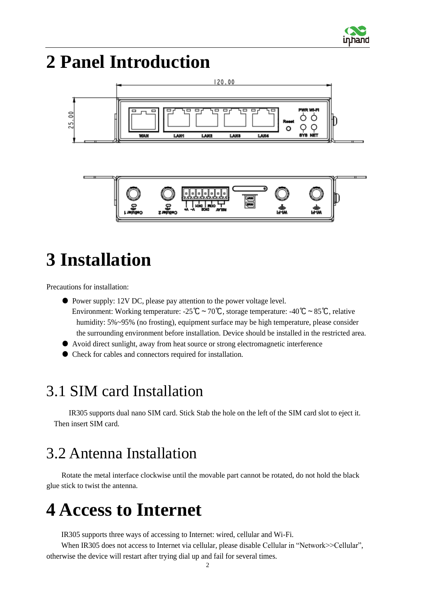

# <span id="page-3-0"></span>**2 Panel Introduction**





# <span id="page-3-1"></span>**3 Installation**

Precautions for installation:

- Power supply: 12V DC, please pay attention to the power voltage level. Environment: Working temperature: -25℃~70℃, storage temperature: -40℃~85℃, relative humidity: 5%~95% (no frosting), equipment surface may be high temperature, please consider the surrounding environment before installation. Device should be installed in the restricted area.
- Avoid direct sunlight, away from heat source or strong electromagnetic interference
- Check for cables and connectors required for installation.

### <span id="page-3-2"></span>3.1 SIM card Installation

IR305 supports dual nano SIM card. Stick Stab the hole on the left of the SIM card slot to eject it. Then insert SIM card.

# <span id="page-3-3"></span>3.2 Antenna Installation

Rotate the metal interface clockwise until the movable part cannot be rotated, do not hold the black glue stick to twist the antenna.

# <span id="page-3-4"></span>**4 Access to Internet**

IR305 supports three ways of accessing to Internet: wired, cellular and Wi-Fi.

When IR305 does not access to Internet via cellular, please disable Cellular in "Network>>Cellular", otherwise the device will restart after trying dial up and fail for several times.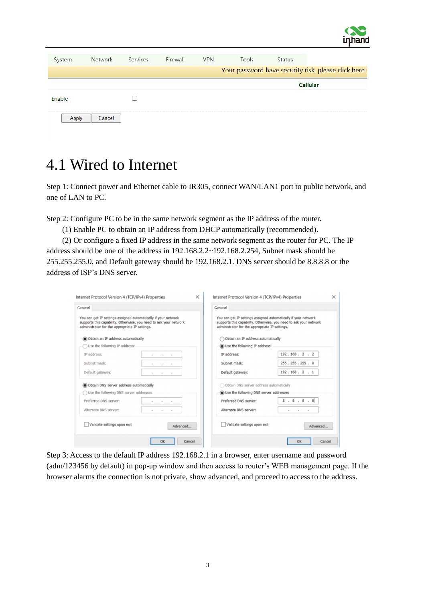

| System | <b>Network</b> | Services | Firewall | <b>VPN</b> | <b>Tools</b> | <b>Status</b> |                                                       |
|--------|----------------|----------|----------|------------|--------------|---------------|-------------------------------------------------------|
|        |                |          |          |            |              |               | Your password have security risk, please click here t |
|        |                |          |          |            |              |               | <b>Cellular</b>                                       |
| Enable |                |          |          |            |              |               |                                                       |
|        | Cancel         |          |          |            |              |               |                                                       |
|        |                |          |          |            |              |               |                                                       |

### <span id="page-4-0"></span>4.1 Wired to Internet

Step 1: Connect power and Ethernet cable to IR305, connect WAN/LAN1 port to public network, and one of LAN to PC.

Step 2: Configure PC to be in the same network segment as the IP address of the router.

(1) Enable PC to obtain an IP address from DHCP automatically (recommended).

(2) Or configure a fixed IP address in the same network segment as the router for PC. The IP address should be one of the address in 192.168.2.2~192.168.2.254, Subnet mask should be 255.255.255.0, and Default gateway should be 192.168.2.1. DNS server should be 8.8.8.8 or the address of ISP's DNS server.

| General                                                                                                                                                                               |                   |          | General                                                                                                          |                                                                   |
|---------------------------------------------------------------------------------------------------------------------------------------------------------------------------------------|-------------------|----------|------------------------------------------------------------------------------------------------------------------|-------------------------------------------------------------------|
| You can get IP settings assigned automatically if your network<br>supports this capability. Otherwise, you need to ask your network<br>administrator for the appropriate IP settings. |                   |          | You can get IP settings assigned automatically if your network<br>administrator for the appropriate IP settings. | supports this capability. Otherwise, you need to ask your network |
| Obtain an IP address automatically                                                                                                                                                    |                   |          | Obtain an IP address automatically                                                                               |                                                                   |
| Use the following IP address:                                                                                                                                                         |                   |          | Use the following IP address:                                                                                    |                                                                   |
| IP address:                                                                                                                                                                           | ×<br>$\mathbf{r}$ |          | IP address:                                                                                                      | 192.168.2.2                                                       |
| Subnet mask:                                                                                                                                                                          |                   |          | Subnet mask:                                                                                                     | 255.255.255.0                                                     |
| Default gateway:                                                                                                                                                                      |                   |          | Default gateway:                                                                                                 | 192.168.2.1                                                       |
| Obtain DNS server address automatically                                                                                                                                               |                   |          | Obtain DNS server address automatically                                                                          |                                                                   |
| Use the following DNS server addresses                                                                                                                                                |                   |          | Use the following DNS server addresses                                                                           |                                                                   |
| Preferred DNS server:                                                                                                                                                                 |                   |          | Preferred DNS server:                                                                                            | 8.8.8.8.8                                                         |
| Alternate DNS server:                                                                                                                                                                 |                   |          | Alternate DNS server:                                                                                            |                                                                   |
| Validate settings upon exit                                                                                                                                                           |                   | Advanced | Validate settings upon exit                                                                                      | Advanced                                                          |

Step 3: Access to the default IP address 192.168.2.1 in a browser, enter username and password (adm/123456 by default) in pop-up window and then access to router's WEB management page. If the browser alarms the connection is not private, show advanced, and proceed to access to the address.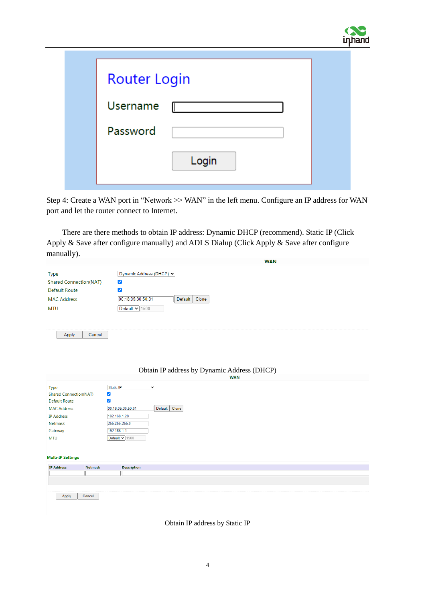

| <b>Router Login</b> |       |
|---------------------|-------|
| Username            |       |
| Password            |       |
|                     | Login |

Step 4: Create a WAN port in "Network >> WAN" in the left menu. Configure an IP address for WAN port and let the router connect to Internet.

There are there methods to obtain IP address: Dynamic DHCP (recommend). Static IP (Click Apply & Save after configure manually) and ADLS Dialup (Click Apply & Save after configure manually).

|                                                                                                                                                     | <b>WAN</b>                                                                                                                                                                                                          |
|-----------------------------------------------------------------------------------------------------------------------------------------------------|---------------------------------------------------------------------------------------------------------------------------------------------------------------------------------------------------------------------|
| <b>Type</b><br><b>Shared Connection(NAT)</b><br><b>Default Route</b><br><b>MAC Address</b><br><b>MTU</b>                                            | Dynamic Address (DHCP) v<br>✔<br>✔<br>00:18:05:30:50:01<br>Default<br>Clone<br>Default $\sqrt{1500}$                                                                                                                |
| Cancel<br>Apply                                                                                                                                     | Obtain IP address by Dynamic Address (DHCP)<br><b>WAN</b>                                                                                                                                                           |
| Type<br><b>Shared Connection(NAT)</b><br><b>Default Route</b><br><b>MAC Address</b><br><b>IP Address</b><br><b>Netmask</b><br>Gateway<br><b>MTU</b> | Static IP<br>$\overline{\mathbf{v}}$<br>$\blacktriangledown$<br>$\blacktriangledown$<br>00:18:05:30:50:01<br>Clone<br>Default<br>192.168.1.29<br>255.255.255.0<br>192.168.1.1<br>Default $\blacktriangleright$ 1500 |
| <b>Multi-IP Settings</b><br><b>IP Address</b><br><b>Netmask</b>                                                                                     | <b>Description</b>                                                                                                                                                                                                  |
|                                                                                                                                                     |                                                                                                                                                                                                                     |
|                                                                                                                                                     |                                                                                                                                                                                                                     |
|                                                                                                                                                     |                                                                                                                                                                                                                     |
| Apply<br>Cancel                                                                                                                                     |                                                                                                                                                                                                                     |

Obtain IP address by Static IP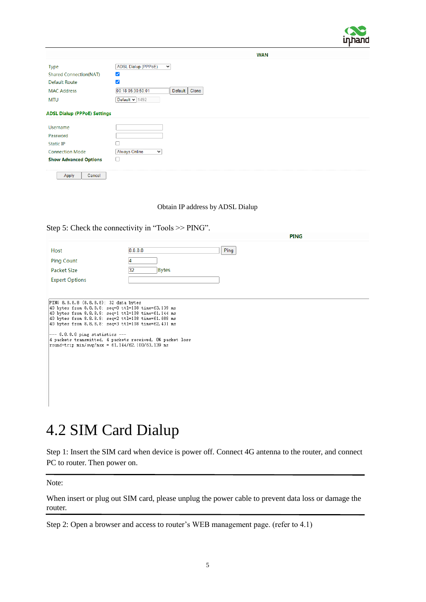

| <b>Type</b>                                           |                                           |
|-------------------------------------------------------|-------------------------------------------|
|                                                       | <b>ADSL Dialup (PPPoE)</b><br>$\check{~}$ |
| <b>Shared Connection(NAT)</b><br>$\blacktriangledown$ |                                           |
| $\blacktriangledown$<br><b>Default Route</b>          |                                           |
| <b>MAC Address</b>                                    | 00:18:05:30:50:01<br>Clone<br>Default     |
| <b>MTU</b>                                            | Default $\vee$ 1492                       |
| <b>ADSL Dialup (PPPoE) Settings</b>                   |                                           |
| <b>Username</b>                                       |                                           |
| Password                                              |                                           |
| <b>Static IP</b>                                      |                                           |
| <b>Connection Mode</b>                                | <b>Always Online</b><br>$\check{~}$       |
| <b>Show Advanced Options</b><br>U                     |                                           |
| Cancel<br>Apply                                       |                                           |

#### Obtain IP address by ADSL Dialup

 $\frac{1}{2}$ 

#### Step 5: Check the connectivity in "Tools >> PING".

|                       |                    | <b>FING</b> |
|-----------------------|--------------------|-------------|
| Host                  | 8.8.8.8<br>Ping    |             |
| <b>Ping Count</b>     |                    |             |
| Packet Size           | <b>Bytes</b><br>32 |             |
| <b>Expert Options</b> |                    |             |
|                       |                    |             |
|                       |                    |             |

PING 8.8.8.8 (8.8.8.8): 32 data bytes<br>40 bytes from 8.8.8.8: seq=0 ttl=108 time=63.139 ms<br>40 bytes from 8.8.8.8: seq=1 ttl=108 time=61.144 ms<br>40 bytes from 8.8.8.8: seq=2 ttl=108 time=61.688 ms<br>40 bytes from 8.8.8.8: seq= --- 8.8.8.8 ping statistics ---<br>4 packets transmitted, 4 packets received, 0% packet loss<br>round-trip min/avg/max = 61.144/62.100/63.139 ms

### <span id="page-6-0"></span>4.2 SIM Card Dialup

Step 1: Insert the SIM card when device is power off. Connect 4G antenna to the router, and connect PC to router. Then power on.

Note:

When insert or plug out SIM card, please unplug the power cable to prevent data loss or damage the router.

Step 2: Open a browser and access to router's WEB management page. (refer to 4.1)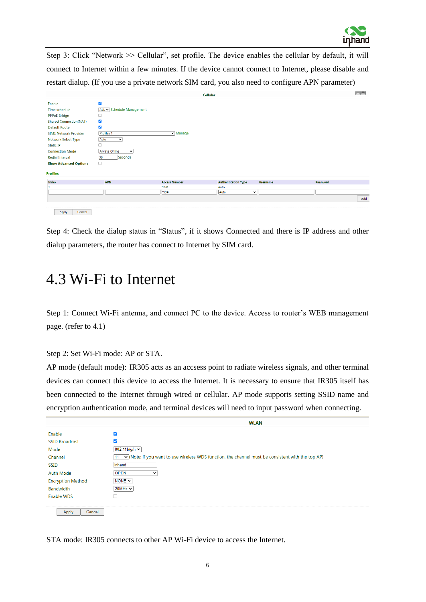

Step 3: Click "Network >> Cellular", set profile. The device enables the cellular by default, it will connect to Internet within a few minutes. If the device cannot connect to Internet, please disable and restart dialup. (If you use a private network SIM card, you also need to configure APN parameter)

|                                                                                                                                                                                                                                                                                                  |                                                                                                                                                                                                                       |                              | <b>Cellular</b>            |                 |          | $-10$ |
|--------------------------------------------------------------------------------------------------------------------------------------------------------------------------------------------------------------------------------------------------------------------------------------------------|-----------------------------------------------------------------------------------------------------------------------------------------------------------------------------------------------------------------------|------------------------------|----------------------------|-----------------|----------|-------|
| Enable<br>Time schedule<br><b>PPPoE Bridge</b><br><b>Shared Connection(NAT)</b><br><b>Default Route</b><br><b>SIM1 Network Provider</b><br><b>Network Select Type</b><br><b>Static IP</b><br><b>Connection Mode</b><br><b>Redial Interval</b><br><b>Show Advanced Options</b><br><b>Profiles</b> | $\overline{\mathbf{v}}$<br>ALL v Schedule Management<br>$\blacktriangledown$<br>$\overline{\mathbf{v}}$<br>Profiles 1<br>Auto<br>$\checkmark$<br>п<br><b>Always Online</b><br>$\checkmark$<br>30<br>Seconds<br>$\Box$ | $\blacktriangleright$ Manage |                            |                 |          |       |
| Index                                                                                                                                                                                                                                                                                            | <b>APN</b>                                                                                                                                                                                                            | <b>Access Number</b>         | <b>Authentication Type</b> | <b>Username</b> | Password |       |
|                                                                                                                                                                                                                                                                                                  |                                                                                                                                                                                                                       | *99#                         | Auto                       |                 |          |       |
|                                                                                                                                                                                                                                                                                                  |                                                                                                                                                                                                                       | *99#                         | Auto<br>$\check{~}$        |                 |          |       |
|                                                                                                                                                                                                                                                                                                  |                                                                                                                                                                                                                       |                              |                            |                 |          | Add   |
| Apply<br>Cancel                                                                                                                                                                                                                                                                                  |                                                                                                                                                                                                                       |                              |                            |                 |          |       |

Step 4: Check the dialup status in "Status", if it shows Connected and there is IP address and other dialup parameters, the router has connect to Internet by SIM card.

#### <span id="page-7-0"></span>4.3 Wi-Fi to Internet

Step 1: Connect Wi-Fi antenna, and connect PC to the device. Access to router's WEB management page. (refer to 4.1)

Step 2: Set Wi-Fi mode: AP or STA.

AP mode (default mode): IR305 acts as an accsess point to radiate wireless signals, and other terminal devices can connect this device to access the Internet. It is necessary to ensure that IR305 itself has been connected to the Internet through wired or cellular. AP mode supports setting SSID name and encryption authentication mode, and terminal devices will need to input password when connecting.

|                          | <b>WLAN</b>                                                                                              |
|--------------------------|----------------------------------------------------------------------------------------------------------|
| Enable                   | ✓                                                                                                        |
| <b>SSID Broadcast</b>    |                                                                                                          |
| Mode                     | 802.11b/g/n $\sim$                                                                                       |
| Channel                  | v (Note: if you want to use wireless WDS function, the channel must be consistent with the top AP)<br>11 |
| <b>SSID</b>              | inhand                                                                                                   |
| <b>Auth Mode</b>         | <b>OPEN</b><br>$\check{ }$                                                                               |
| <b>Encryption Method</b> | NONE $\sim$                                                                                              |
| Bandwidth                | $20MHz \rightarrow$                                                                                      |
| <b>Enable WDS</b>        |                                                                                                          |
|                          |                                                                                                          |
| Cancel<br>Apply          |                                                                                                          |

STA mode: IR305 connects to other AP Wi-Fi device to access the Internet.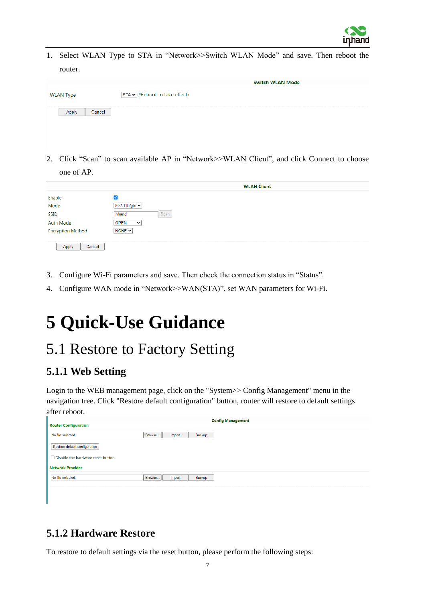

1. Select WLAN Type to STA in "Network>>Switch WLAN Mode" and save. Then reboot the router.

|                  | <b>Switch WLAN Mode</b>        |
|------------------|--------------------------------|
| <b>WLAN Type</b> | STA v (*Reboot to take effect) |
| Cancel           |                                |

2. Click "Scan" to scan available AP in "Network>>WLAN Client", and click Connect to choose one of AP.

|                                | <b>WLAN Client</b>  |
|--------------------------------|---------------------|
|                                |                     |
| Enable<br>Mode                 | $802.11 b/g/n \sim$ |
| <b>SSID</b>                    | Scan<br>linhand     |
|                                | $\check{ }$         |
| Auth Mode<br>Encryption Method | NONE $\sim$         |
| Cancel<br>Apply                |                     |

- 3. Configure Wi-Fi parameters and save. Then check the connection status in "Status".
- 4. Configure WAN mode in "Network>>WAN(STA)", set WAN parameters for Wi-Fi.

# <span id="page-8-0"></span>**5 Quick-Use Guidance**

### <span id="page-8-1"></span>5.1 Restore to Factory Setting

#### <span id="page-8-2"></span>**5.1.1 Web Setting**

Login to the WEB management page, click on the "System>> Config Management" menu in the navigation tree. Click "Restore default configuration" button, router will restore to default settings after reboot.

| <b>Router Configuration</b>              |         |        |        | <b>Config Management</b> |
|------------------------------------------|---------|--------|--------|--------------------------|
| No file selected.                        | Browse. | Import | Backup |                          |
| Restore default configuration            |         |        |        |                          |
| $\Box$ Disable the hardware reset button |         |        |        |                          |
| <b>Network Provider</b>                  |         |        |        |                          |
| No file selected.                        | Browse  | Import | Backup |                          |
| ---------                                |         |        |        |                          |

#### <span id="page-8-3"></span>**5.1.2 Hardware Restore**

To restore to default settings via the reset button, please perform the following steps: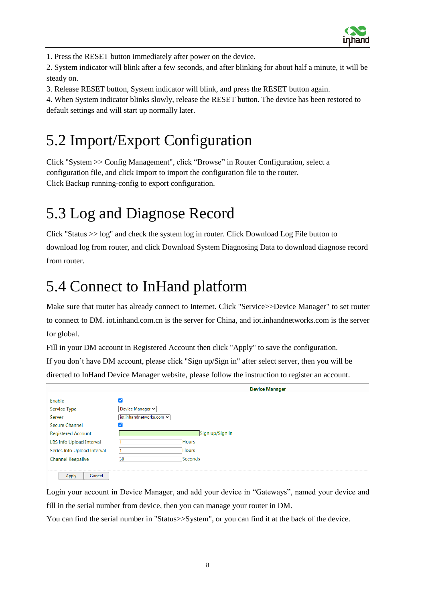

1. Press the RESET button immediately after power on the device.

2. System indicator will blink after a few seconds, and after blinking for about half a minute, it will be steady on.

3. Release RESET button, System indicator will blink, and press the RESET button again.

4. When System indicator blinks slowly, release the RESET button. The device has been restored to default settings and will start up normally later.

# <span id="page-9-0"></span>5.2 Import/Export Configuration

Click "System >> Config Management", click "Browse" in Router Configuration, select a configuration file, and click Import to import the configuration file to the router. Click Backup running-config to export configuration.

# <span id="page-9-1"></span>5.3 Log and Diagnose Record

Click "Status >> log" and check the system log in router. Click Download Log File button to download log from router, and click Download System Diagnosing Data to download diagnose record from router.

## <span id="page-9-2"></span>5.4 Connect to InHand platform

Make sure that router has already connect to Internet. Click "Service>>Device Manager" to set router to connect to DM. iot.inhand.com.cn is the server for China, and iot.inhandnetworks.com is the server for global.

Fill in your DM account in Registered Account then click "Apply" to save the configuration.

If you don't have DM account, please click "Sign up/Sign in" after select server, then you will be directed to InHand Device Manager website, please follow the instruction to register an account.

|                             |                          | <b>Device Manager</b> |
|-----------------------------|--------------------------|-----------------------|
| Enable                      | M                        |                       |
| Service Type                | Device Manager $\sim$    |                       |
| Server                      | iot.inhandnetworks.com v |                       |
| <b>Secure Channel</b>       | ✓                        |                       |
| <b>Registered Account</b>   |                          | Sign up/Sign in       |
| LBS info Upload Interval    |                          | <b>Hours</b>          |
| Series Info Upload Interval |                          | Hours                 |
| <b>Channel Keepalive</b>    | 30                       | Seconds               |
|                             |                          |                       |
| Cancel<br>Apply             |                          |                       |

Login your account in Device Manager, and add your device in "Gateways", named your device and fill in the serial number from device, then you can manage your router in DM.

You can find the serial number in "Status>>System", or you can find it at the back of the device.